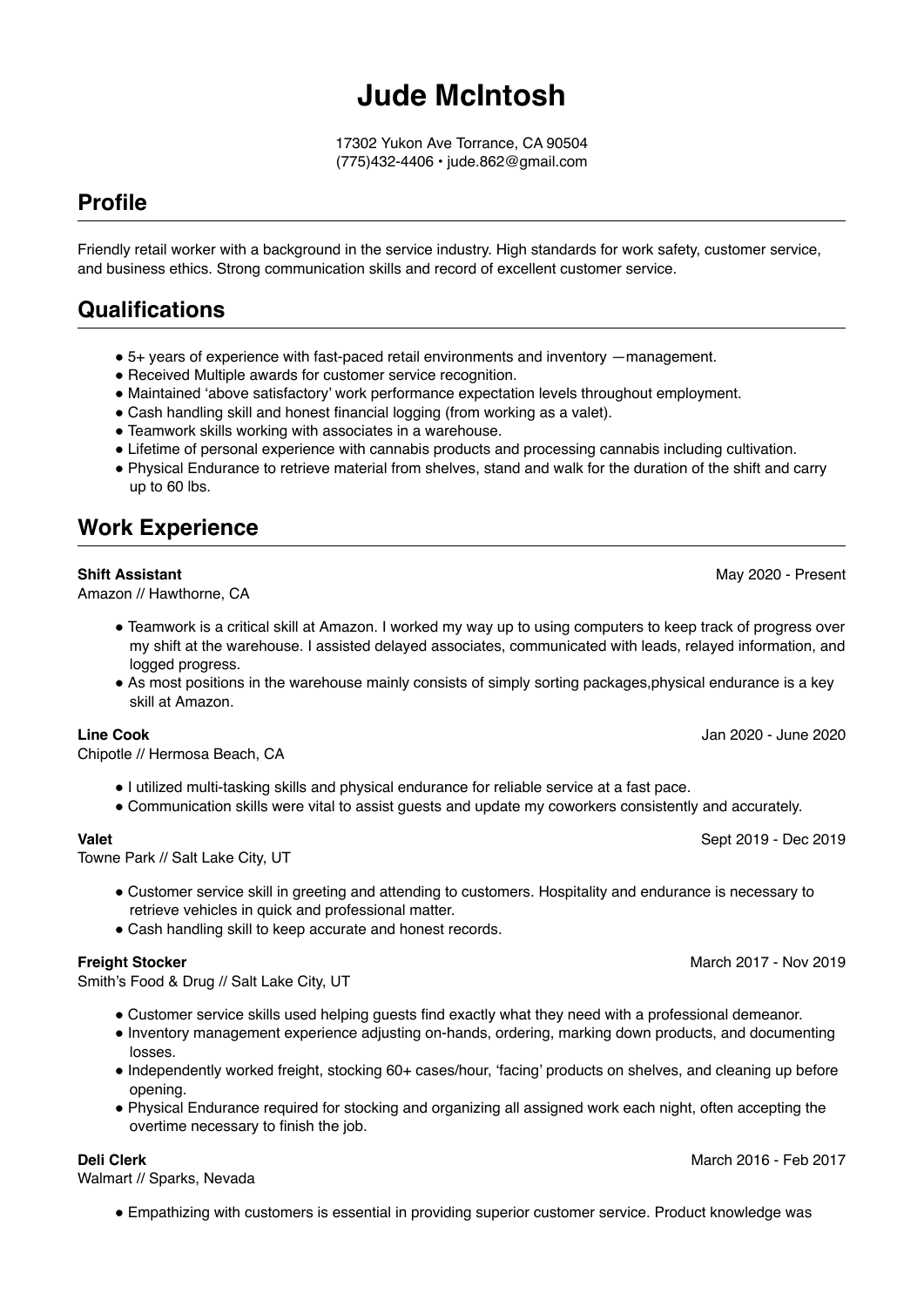# **Jude McIntosh**

17302 Yukon Ave Torrance, CA 90504 (775)432-4406 • jude.862@gmail.com

# **Profile**

Friendly retail worker with a background in the service industry. High standards for work safety, customer service, and business ethics. Strong communication skills and record of excellent customer service.

# **Qualifications**

- 5+ years of experience with fast-paced retail environments and inventory —management.
- Received Multiple awards for customer service recognition.
- Maintained 'above satisfactory' work performance expectation levels throughout employment.
- Cash handling skill and honest financial logging (from working as a valet).
- Teamwork skills working with associates in a warehouse.
- Lifetime of personal experience with cannabis products and processing cannabis including cultivation.
- Physical Endurance to retrieve material from shelves, stand and walk for the duration of the shift and carry up to 60 lbs.

## **Work Experience**

#### **Shift Assistant**

Amazon // Hawthorne, CA

- Teamwork is a critical skill at Amazon. I worked my way up to using computers to keep track of progress over my shift at the warehouse. I assisted delayed associates, communicated with leads, relayed information, and logged progress.
- As most positions in the warehouse mainly consists of simply sorting packages,physical endurance is a key skill at Amazon.

#### **Line Cook**

Chipotle // Hermosa Beach, CA

- I utilized multi-tasking skills and physical endurance for reliable service at a fast pace.
- Communication skills were vital to assist guests and update my coworkers consistently and accurately.

#### **Valet**

Towne Park // Salt Lake City, UT

- Customer service skill in greeting and attending to customers. Hospitality and endurance is necessary to retrieve vehicles in quick and professional matter.
- Cash handling skill to keep accurate and honest records.

#### **Freight Stocker**

Smith's Food & Drug // Salt Lake City, UT

- Customer service skills used helping guests find exactly what they need with a professional demeanor.
- Inventory management experience adjusting on-hands, ordering, marking down products, and documenting losses.
- Independently worked freight, stocking 60+ cases/hour, 'facing' products on shelves, and cleaning up before opening.
- Physical Endurance required for stocking and organizing all assigned work each night, often accepting the overtime necessary to finish the job.

#### **Deli Clerk**

Walmart // Sparks, Nevada

● Empathizing with customers is essential in providing superior customer service. Product knowledge was

#### May 2020 - Present

Sept 2019 - Dec 2019

Jan 2020 - June 2020

March 2017 - Nov 2019

March 2016 - Feb 2017